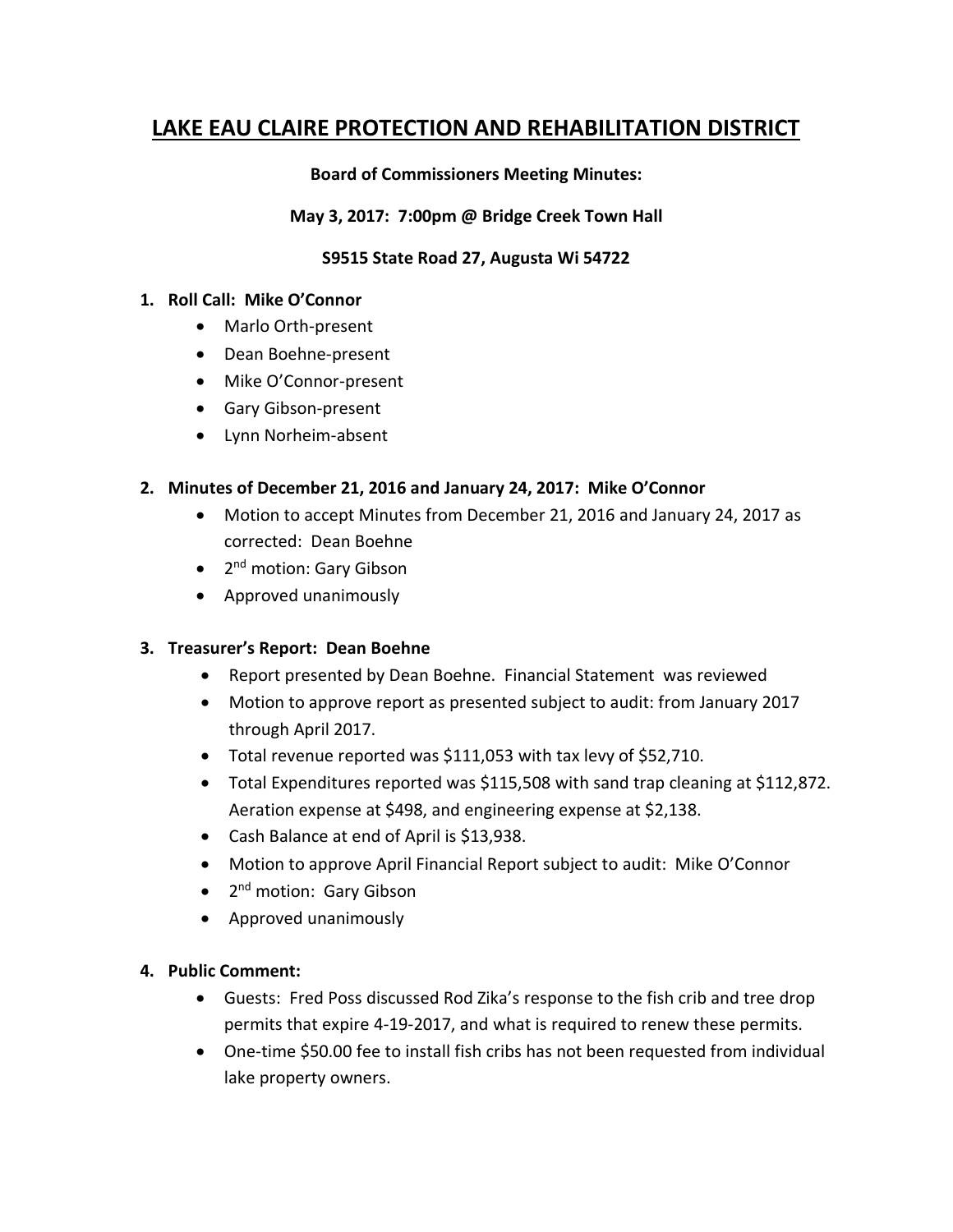# **LAKE EAU CLAIRE PROTECTION AND REHABILITATION DISTRICT**

#### **Board of Commissioners Meeting Minutes:**

#### **May 3, 2017: 7:00pm @ Bridge Creek Town Hall**

### **S9515 State Road 27, Augusta Wi 54722**

#### **1. Roll Call: Mike O'Connor**

- Marlo Orth-present
- Dean Boehne-present
- Mike O'Connor-present
- Gary Gibson-present
- Lynn Norheim-absent

#### **2. Minutes of December 21, 2016 and January 24, 2017: Mike O'Connor**

- Motion to accept Minutes from December 21, 2016 and January 24, 2017 as corrected: Dean Boehne
- 2<sup>nd</sup> motion: Gary Gibson
- Approved unanimously

### **3. Treasurer's Report: Dean Boehne**

- Report presented by Dean Boehne. Financial Statement was reviewed
- Motion to approve report as presented subject to audit: from January 2017 through April 2017.
- Total revenue reported was \$111,053 with tax levy of \$52,710.
- Total Expenditures reported was \$115,508 with sand trap cleaning at \$112,872. Aeration expense at \$498, and engineering expense at \$2,138.
- Cash Balance at end of April is \$13,938.
- Motion to approve April Financial Report subject to audit: Mike O'Connor
- 2<sup>nd</sup> motion: Gary Gibson
- Approved unanimously

### **4. Public Comment:**

- Guests: Fred Poss discussed Rod Zika's response to the fish crib and tree drop permits that expire 4-19-2017, and what is required to renew these permits.
- One-time \$50.00 fee to install fish cribs has not been requested from individual lake property owners.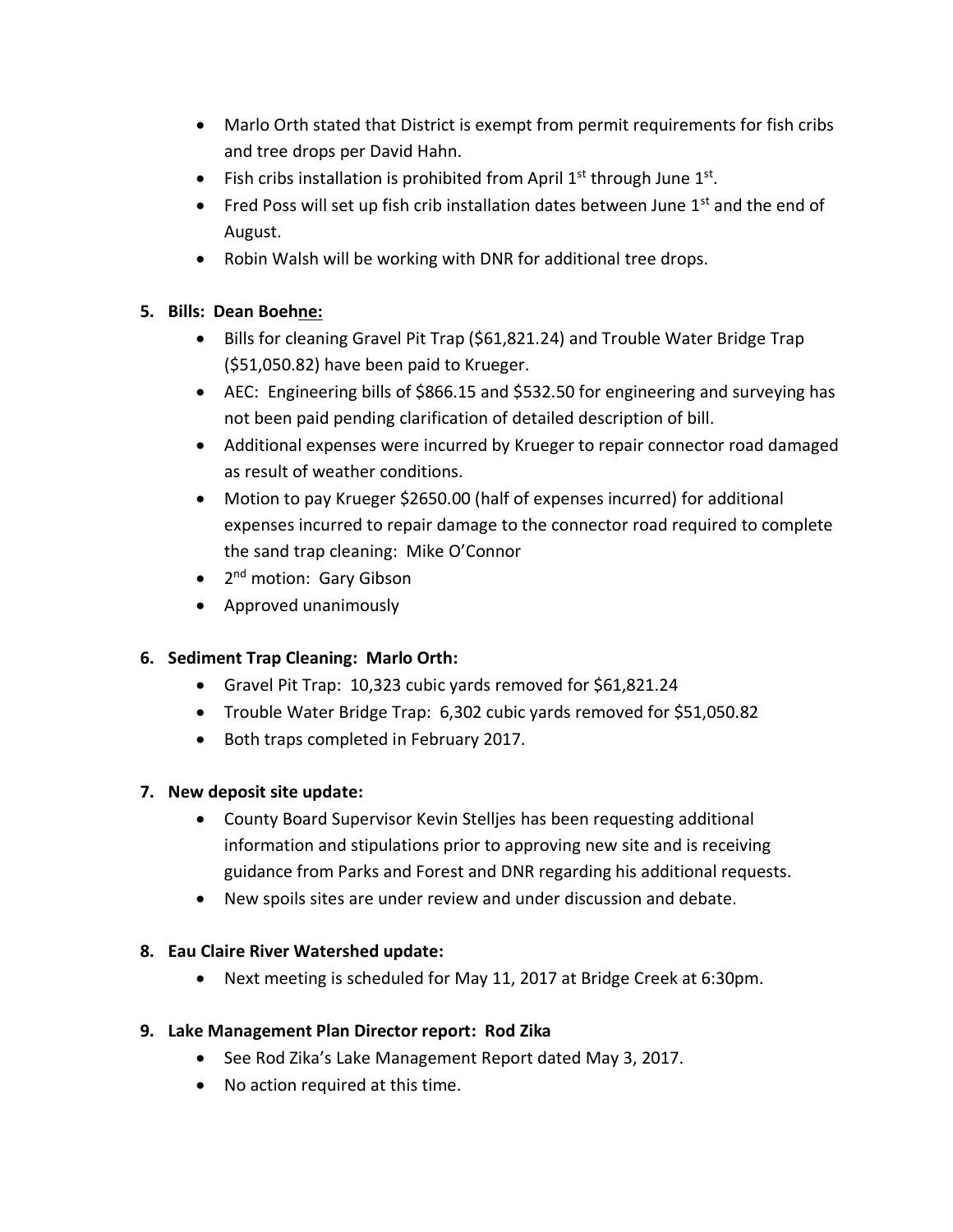- Marlo Orth stated that District is exempt from permit requirements for fish cribs and tree drops per David Hahn.
- Fish cribs installation is prohibited from April  $1<sup>st</sup>$  through June  $1<sup>st</sup>$ .
- Fred Poss will set up fish crib installation dates between June  $1<sup>st</sup>$  and the end of August.
- Robin Walsh will be working with DNR for additional tree drops.

# **5. Bills: Dean Boehne:**

- Bills for cleaning Gravel Pit Trap (\$61,821.24) and Trouble Water Bridge Trap (\$51,050.82) have been paid to Krueger.
- AEC: Engineering bills of \$866.15 and \$532.50 for engineering and surveying has not been paid pending clarification of detailed description of bill.
- Additional expenses were incurred by Krueger to repair connector road damaged as result of weather conditions.
- Motion to pay Krueger \$2650.00 (half of expenses incurred) for additional expenses incurred to repair damage to the connector road required to complete the sand trap cleaning: Mike O'Connor
- 2<sup>nd</sup> motion: Gary Gibson
- Approved unanimously

# **6. Sediment Trap Cleaning: Marlo Orth:**

- Gravel Pit Trap: 10,323 cubic yards removed for \$61,821.24
- Trouble Water Bridge Trap: 6,302 cubic yards removed for \$51,050.82
- Both traps completed in February 2017.

# **7. New deposit site update:**

- County Board Supervisor Kevin Stelljes has been requesting additional information and stipulations prior to approving new site and is receiving guidance from Parks and Forest and DNR regarding his additional requests.
- New spoils sites are under review and under discussion and debate.

### **8. Eau Claire River Watershed update:**

• Next meeting is scheduled for May 11, 2017 at Bridge Creek at 6:30pm.

# **9. Lake Management Plan Director report: Rod Zika**

- See Rod Zika's Lake Management Report dated May 3, 2017.
- No action required at this time.